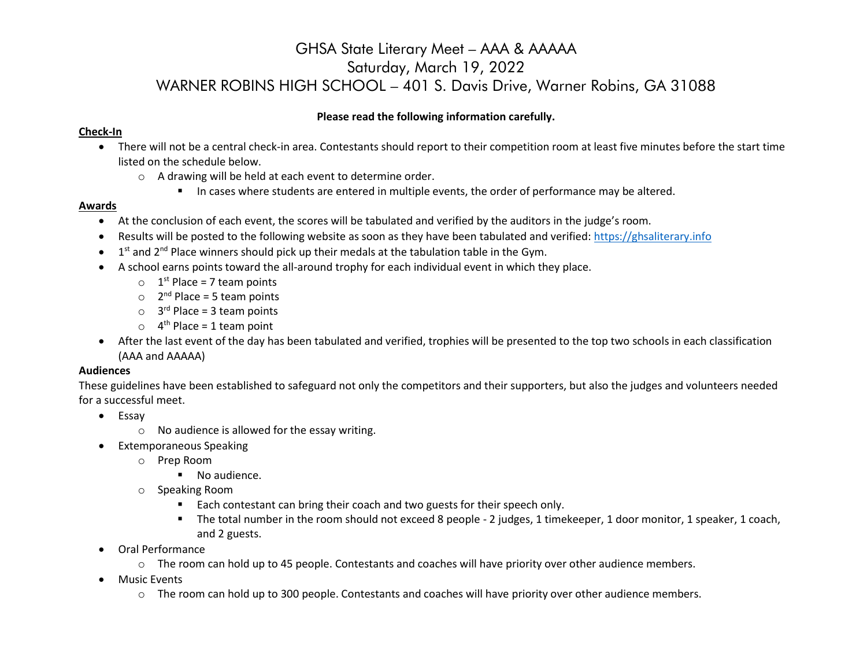### **Please read the following information carefully.**

### **Check-In**

- There will not be a central check-in area. Contestants should report to their competition room at least five minutes before the start time listed on the schedule below.
	- o A drawing will be held at each event to determine order.
		- In cases where students are entered in multiple events, the order of performance may be altered.

#### **Awards**

- At the conclusion of each event, the scores will be tabulated and verified by the auditors in the judge's room.
- Results will be posted to the following website as soon as they have been tabulated and verified: [https://ghsaliterary.info](https://ghsaliterary.info/)
- $\bullet$  1<sup>st</sup> and 2<sup>nd</sup> Place winners should pick up their medals at the tabulation table in the Gym.
- A school earns points toward the all-around trophy for each individual event in which they place.
	- $\circ$  1<sup>st</sup> Place = 7 team points
	- $\circ$  2<sup>nd</sup> Place = 5 team points
	- $\circ$  3<sup>rd</sup> Place = 3 team points
	- $\circ$  4<sup>th</sup> Place = 1 team point
- After the last event of the day has been tabulated and verified, trophies will be presented to the top two schools in each classification (AAA and AAAAA)

#### **Audiences**

These guidelines have been established to safeguard not only the competitors and their supporters, but also the judges and volunteers needed for a successful meet.

- Essay
	- $\circ$  No audience is allowed for the essay writing.
- Extemporaneous Speaking
	- o Prep Room
		- No audience.
	- o Speaking Room
		- **Each contestant can bring their coach and two guests for their speech only.**
		- The total number in the room should not exceed 8 people 2 judges, 1 timekeeper, 1 door monitor, 1 speaker, 1 coach, and 2 guests.
- Oral Performance
	- o The room can hold up to 45 people. Contestants and coaches will have priority over other audience members.
- **•** Music Events
	- $\circ$  The room can hold up to 300 people. Contestants and coaches will have priority over other audience members.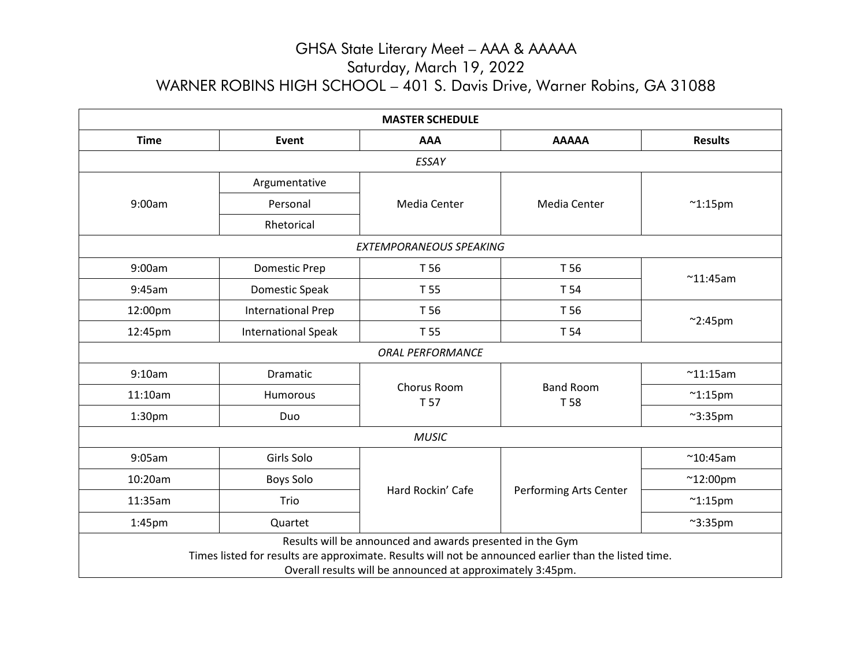| <b>MASTER SCHEDULE</b>                                                                                                                                                                                                           |                            |                     |                          |                    |  |  |
|----------------------------------------------------------------------------------------------------------------------------------------------------------------------------------------------------------------------------------|----------------------------|---------------------|--------------------------|--------------------|--|--|
| <b>Time</b>                                                                                                                                                                                                                      | Event                      | <b>AAA</b>          | <b>AAAAA</b>             | <b>Results</b>     |  |  |
| ESSAY                                                                                                                                                                                                                            |                            |                     |                          |                    |  |  |
| 9:00am                                                                                                                                                                                                                           | Argumentative              | Media Center        | Media Center             | $^{\sim}$ 1:15pm   |  |  |
|                                                                                                                                                                                                                                  | Personal                   |                     |                          |                    |  |  |
|                                                                                                                                                                                                                                  | Rhetorical                 |                     |                          |                    |  |  |
| EXTEMPORANEOUS SPEAKING                                                                                                                                                                                                          |                            |                     |                          |                    |  |  |
| 9:00am                                                                                                                                                                                                                           | <b>Domestic Prep</b>       | T 56<br>T 56        |                          |                    |  |  |
| 9:45am                                                                                                                                                                                                                           | Domestic Speak             | T 55                | T 54                     | $~^{\sim}$ 11:45am |  |  |
| 12:00pm                                                                                                                                                                                                                          | <b>International Prep</b>  | T 56<br>T 55        | T 56                     | $^{\sim}$ 2:45pm   |  |  |
| 12:45pm                                                                                                                                                                                                                          | <b>International Speak</b> |                     | T 54                     |                    |  |  |
| <b>ORAL PERFORMANCE</b>                                                                                                                                                                                                          |                            |                     |                          |                    |  |  |
| 9:10am                                                                                                                                                                                                                           | <b>Dramatic</b>            | Chorus Room<br>T 57 | <b>Band Room</b><br>T 58 | $^{\sim}$ 11:15am  |  |  |
| 11:10am                                                                                                                                                                                                                          | Humorous                   |                     |                          | $~^{\sim}$ 1:15pm  |  |  |
| 1:30 <sub>pm</sub>                                                                                                                                                                                                               | Duo                        |                     |                          | $~^{\sim}3:35$ pm  |  |  |
| <b>MUSIC</b>                                                                                                                                                                                                                     |                            |                     |                          |                    |  |  |
| 9:05am                                                                                                                                                                                                                           | Girls Solo                 |                     | Performing Arts Center   | $^{\sim}$ 10:45am  |  |  |
| 10:20am                                                                                                                                                                                                                          | <b>Boys Solo</b>           | Hard Rockin' Cafe   |                          | $^{\sim}$ 12:00pm  |  |  |
| 11:35am                                                                                                                                                                                                                          | Trio                       |                     |                          | $~^{\sim}$ 1:15pm  |  |  |
| 1:45pm                                                                                                                                                                                                                           | Quartet                    |                     |                          | $~^{\sim}$ 3:35pm  |  |  |
| Results will be announced and awards presented in the Gym<br>Times listed for results are approximate. Results will not be announced earlier than the listed time.<br>Overall results will be announced at approximately 3:45pm. |                            |                     |                          |                    |  |  |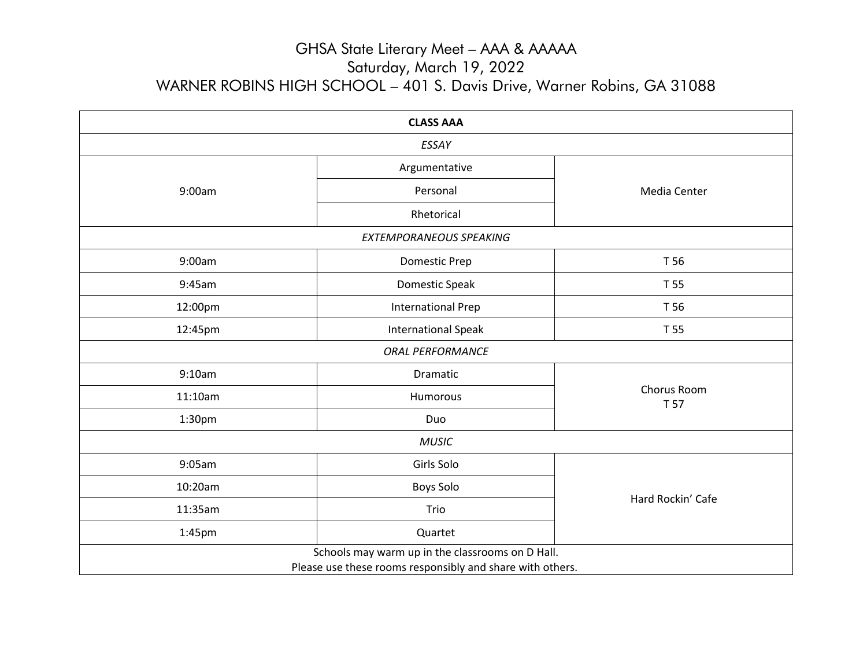| <b>CLASS AAA</b>                                                                                              |                            |                     |  |  |  |
|---------------------------------------------------------------------------------------------------------------|----------------------------|---------------------|--|--|--|
| ESSAY                                                                                                         |                            |                     |  |  |  |
|                                                                                                               | Argumentative              |                     |  |  |  |
| 9:00am                                                                                                        | Personal                   | Media Center        |  |  |  |
|                                                                                                               | Rhetorical                 |                     |  |  |  |
| EXTEMPORANEOUS SPEAKING                                                                                       |                            |                     |  |  |  |
| 9:00am                                                                                                        | <b>Domestic Prep</b>       | T 56                |  |  |  |
| 9:45am                                                                                                        | Domestic Speak             | T 55                |  |  |  |
| 12:00pm                                                                                                       | <b>International Prep</b>  | T 56                |  |  |  |
| 12:45pm                                                                                                       | <b>International Speak</b> | T 55                |  |  |  |
| <b>ORAL PERFORMANCE</b>                                                                                       |                            |                     |  |  |  |
| 9:10am                                                                                                        | Dramatic                   | Chorus Room<br>T 57 |  |  |  |
| 11:10am                                                                                                       | Humorous                   |                     |  |  |  |
| 1:30 <sub>pm</sub>                                                                                            | Duo                        |                     |  |  |  |
| <b>MUSIC</b>                                                                                                  |                            |                     |  |  |  |
| 9:05am                                                                                                        | Girls Solo                 |                     |  |  |  |
| 10:20am                                                                                                       | <b>Boys Solo</b>           |                     |  |  |  |
| 11:35am                                                                                                       | Trio                       | Hard Rockin' Cafe   |  |  |  |
| 1:45pm                                                                                                        | Quartet                    |                     |  |  |  |
| Schools may warm up in the classrooms on D Hall.<br>Please use these rooms responsibly and share with others. |                            |                     |  |  |  |